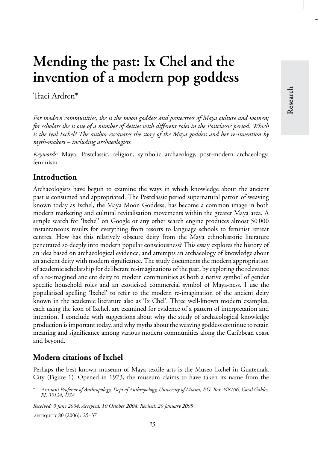# **Mending the past: Ix Chel and the invention of a modern pop goddess**

Traci Ardren∗

*For modern communities, she is the moon goddess and protectress of Maya culture and women; for scholars she is one of a number of deities with different roles in the Postclassic period. Which is the real Ixchel? The author excavates the story of the Maya goddess and her re-invention by myth-makers – including archaeologists.*

*Keywords:* Maya, Postclassic, religion, symbolic archaeology, post-modern archaeology, feminism

# **Introduction**

Archaeologists have begun to examine the ways in which knowledge about the ancient past is consumed and appropriated. The Postclassic period supernatural patron of weaving known today as Ixchel, the Maya Moon Goddess, has become a common image in both modern marketing and cultural revitalisation movements within the greater Maya area. A simple search for 'Ixchel' on Google or any other search engine produces almost 50 000 instantaneous results for everything from resorts to language schools to feminist retreat centres. How has this relatively obscure deity from the Maya ethnohistoric literature penetrated so deeply into modern popular consciousness? This essay explores the history of an idea based on archaeological evidence, and attempts an archaeology of knowledge about an ancient deity with modern significance. The study documents the modern appropriation of academic scholarship for deliberate re-imaginations of the past, by exploring the relevance of a re-imagined ancient deity to modern communities as both a native symbol of gender specific household roles and an exoticised commercial symbol of Maya-ness. I use the popularised spelling 'Ixchel' to refer to the modern re-imagination of the ancient deity known in the academic literature also as 'Ix Chel'. Three well-known modern examples, each using the icon of Ixchel, are examined for evidence of a pattern of interpretation and intention. I conclude with suggestions about why the study of archaeological knowledge production is important today, and why myths about the weaving goddess continue to retain meaning and significance among various modern communities along the Caribbean coast and beyond.

## **Modern citations of Ixchel**

Perhaps the best-known museum of Maya textile arts is the Museo Ixchel in Guatemala City (Figure 1). Opened in 1973, the museum claims to have taken its name from the

*Received: 9 June 2004; Accepted: 10 October 2004; Revised: 20 January 2005* antiquity 80 (2006): 25–37

<sup>∗</sup> *Assistant Professor of Anthropology, Dept of Anthropology, University of Miami, P.O. Box 248106, Coral Gables, FL 33124, USA*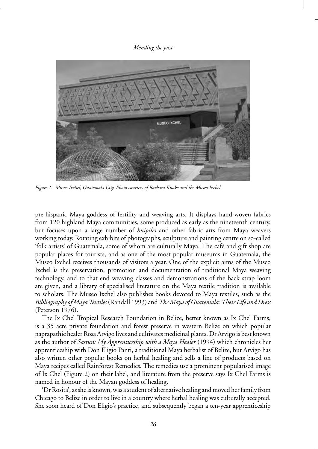

*Figure 1. Museo Ixchel, Guatemala City. Photo courtesy of Barbara Knoke and the Museo Ixchel.*

pre-hispanic Maya goddess of fertility and weaving arts. It displays hand-woven fabrics from 120 highland Maya communities, some produced as early as the nineteenth century, but focuses upon a large number of *huipiles* and other fabric arts from Maya weavers working today. Rotating exhibits of photographs, sculpture and painting centre on so-called 'folk artists' of Guatemala, some of whom are culturally Maya. The cafe and gift shop are ´ popular places for tourists, and as one of the most popular museums in Guatemala, the Museo Ixchel receives thousands of visitors a year. One of the explicit aims of the Museo Ixchel is the preservation, promotion and documentation of traditional Maya weaving technology, and to that end weaving classes and demonstrations of the back strap loom are given, and a library of specialised literature on the Maya textile tradition is available to scholars. The Museo Ixchel also publishes books devoted to Maya textiles, such as the *Bibliography of Maya Textiles* (Randall 1993) and *The Maya of Guatemala: Their Life and Dress* (Peterson 1976).

The Ix Chel Tropical Research Foundation in Belize, better known as Ix Chel Farms, is a 35 acre private foundation and forest preserve in western Belize on which popular naprapathic healer Rosa Arvigo lives and cultivates medicinal plants. Dr Arvigo is best known as the author of *Sastun: My Apprenticeship with a Maya Healer* (1994) which chronicles her apprenticeship with Don Eligio Panti, a traditional Maya herbalist of Belize, but Arvigo has also written other popular books on herbal healing and sells a line of products based on Maya recipes called Rainforest Remedies. The remedies use a prominent popularised image of Ix Chel (Figure 2) on their label, and literature from the preserve says Ix Chel Farms is named in honour of the Mayan goddess of healing.

'Dr Rosita', as she is known, was a student of alternative healing and moved her family from Chicago to Belize in order to live in a country where herbal healing was culturally accepted. She soon heard of Don Eligio's practice, and subsequently began a ten-year apprenticeship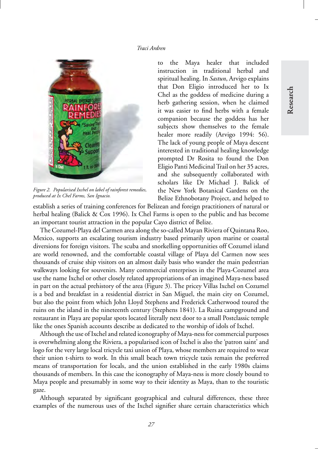

*Figure 2. Popularised Ixchel on label of rainforest remedies, produced at Ix Chel Farms, San Ignacio.*

to the Maya healer that included instruction in traditional herbal and spiritual healing. In *Sastun*, Arvigo explains that Don Eligio introduced her to Ix Chel as the goddess of medicine during a herb gathering session, when he claimed it was easier to find herbs with a female companion because the goddess has her subjects show themselves to the female healer more readily (Arvigo 1994: 56). The lack of young people of Maya descent interested in traditional healing knowledge prompted Dr Rosita to found the Don Eligio Panti Medicinal Trail on her 35 acres, and she subsequently collaborated with scholars like Dr Michael J. Balick of the New York Botanical Gardens on the Belize Ethnobotany Project, and helped to

establish a series of training conferences for Belizean and foreign practitioners of natural or herbal healing (Balick & Cox 1996). Ix Chel Farms is open to the public and has become an important tourist attraction in the popular Cayo district of Belize.

The Cozumel-Playa del Carmen area along the so-called Mayan Riviera of Quintana Roo, Mexico, supports an escalating tourism industry based primarily upon marine or coastal diversions for foreign visitors. The scuba and snorkelling opportunities off Cozumel island are world renowned, and the comfortable coastal village of Playa del Carmen now sees thousands of cruise ship visitors on an almost daily basis who wander the main pedestrian walkways looking for souvenirs. Many commercial enterprises in the Playa-Cozumel area use the name Ixchel or other closely related appropriations of an imagined Maya-ness based in part on the actual prehistory of the area (Figure 3). The pricey Villas Ixchel on Cozumel is a bed and breakfast in a residential district in San Miguel, the main city on Cozumel, but also the point from which John Lloyd Stephens and Frederick Catherwood toured the ruins on the island in the nineteenth century (Stephens 1841). La Ruina campground and restaurant in Playa are popular spots located literally next door to a small Postclassic temple like the ones Spanish accounts describe as dedicated to the worship of idols of Ixchel.

Although the use of Ixchel and related iconography of Maya-ness for commercial purposes is overwhelming along the Riviera, a popularised icon of Ixchel is also the 'patron saint' and logo for the very large local tricycle taxi union of Playa, whose members are required to wear their union t-shirts to work. In this small beach town tricycle taxis remain the preferred means of transportation for locals, and the union established in the early 1980s claims thousands of members. In this case the iconography of Maya-ness is more closely bound to Maya people and presumably in some way to their identity as Maya, than to the touristic gaze.

Although separated by significant geographical and cultural differences, these three examples of the numerous uses of the Ixchel signifier share certain characteristics which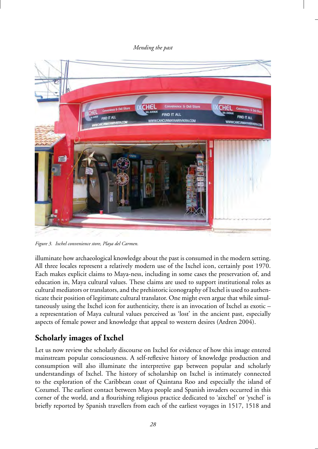

*Figure 3. Ixchel convenience store, Playa del Carmen.*

illuminate how archaeological knowledge about the past is consumed in the modern setting. All three locales represent a relatively modern use of the Ixchel icon, certainly post 1970. Each makes explicit claims to Maya-ness, including in some cases the preservation of, and education in, Maya cultural values. These claims are used to support institutional roles as cultural mediators or translators, and the prehistoric iconography of Ixchel is used to authenticate their position of legitimate cultural translator. One might even argue that while simultaneously using the Ixchel icon for authenticity, there is an invocation of Ixchel as exotic – a representation of Maya cultural values perceived as 'lost' in the ancient past, especially aspects of female power and knowledge that appeal to western desires (Ardren 2004).

# **Scholarly images of Ixchel**

Let us now review the scholarly discourse on Ixchel for evidence of how this image entered mainstream popular consciousness. A self-reflexive history of knowledge production and consumption will also illuminate the interpretive gap between popular and scholarly understandings of Ixchel. The history of scholarship on Ixchel is intimately connected to the exploration of the Caribbean coast of Quintana Roo and especially the island of Cozumel. The earliest contact between Maya people and Spanish invaders occurred in this corner of the world, and a flourishing religious practice dedicated to 'aixchel' or 'yschel' is briefly reported by Spanish travellers from each of the earliest voyages in 1517, 1518 and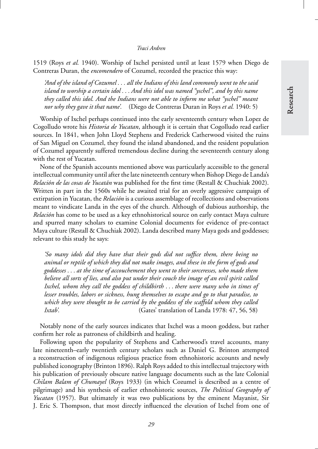1519 (Roys *et al.* 1940). Worship of Ixchel persisted until at least 1579 when Diego de Contreras Duran, the *encomendero* of Cozumel, recorded the practice this way:

*'And of the island of Cozumel . . . all the Indians of this land commonly went to the said island to worship a certain idol . . . And this idol was named "yschel", and by this name they called this idol. And the Indians were not able to inform me what "yschel" meant nor why they gave it that name'.* (Diego de Contreras Duran in Roys *et al.* 1940: 5)

Worship of Ixchel perhaps continued into the early seventeenth century when Lopez de Cogolludo wrote his *Historia de Yucatan*, although it is certain that Cogolludo read earlier sources. In 1841, when John Lloyd Stephens and Frederick Catherwood visited the ruins of San Miguel on Cozumel, they found the island abandoned, and the resident population of Cozumel apparently suffered tremendous decline during the seventeenth century along with the rest of Yucatan.

None of the Spanish accounts mentioned above was particularly accessible to the general intellectual community until after the late nineteenth century when Bishop Diego de Landa's *Relación de las cosas de Yucatán* was published for the first time (Restall & Chuchiak 2002). Written in part in the 1560s while he awaited trial for an overly aggressive campaign of extirpation in Yucatan, the *Relación* is a curious assemblage of recollections and observations meant to vindicate Landa in the eyes of the church. Although of dubious authorship, the *Relación* has come to be used as a key ethnohistorical source on early contact Maya culture and spurred many scholars to examine Colonial documents for evidence of pre-contact Maya culture (Restall & Chuchiak 2002). Landa described many Maya gods and goddesses; relevant to this study he says:

*'So many idols did they have that their gods did not suffice them, there being no animal or reptile of which they did not make images, and these in the form of gods and goddesses . . . at the time of accouchement they went to their sorceresses, who made them believe all sorts of lies, and also put under their couch the image of an evil spirit called Ixchel, whom they call the goddess of childbirth . . . there were many who in times of lesser troubles, labors or sickness, hung themselves to escape and go to that paradise, to which they were thought to be carried by the goddess of the scaffold whom they called Ixtab'.* (Gates' translation of Landa 1978: 47, 56, 58)

Notably none of the early sources indicates that Ixchel was a moon goddess, but rather confirm her role as patroness of childbirth and healing.

Following upon the popularity of Stephens and Catherwood's travel accounts, many late nineteenth–early twentieth century scholars such as Daniel G. Brinton attempted a reconstruction of indigenous religious practice from ethnohistoric accounts and newly published iconography (Brinton 1896). Ralph Roys added to this intellectual trajectory with his publication of previously obscure native language documents such as the late Colonial *Chilam Balam of Chumayel* (Roys 1933) (in which Cozumel is described as a centre of pilgrimage) and his synthesis of earlier ethnohistoric sources, *The Political Geography of Yucatan* (1957). But ultimately it was two publications by the eminent Mayanist, Sir J. Eric S. Thompson, that most directly influenced the elevation of Ixchel from one of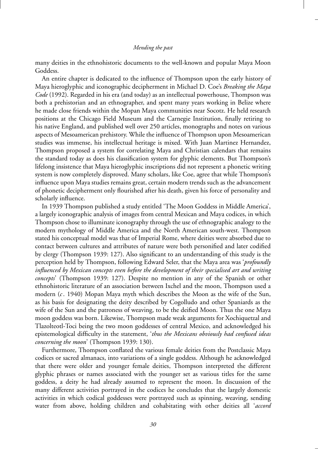many deities in the ethnohistoric documents to the well-known and popular Maya Moon Goddess.

An entire chapter is dedicated to the influence of Thompson upon the early history of Maya hieroglyphic and iconographic decipherment in Michael D. Coe's *Breaking the Maya Code* (1992). Regarded in his era (and today) as an intellectual powerhouse, Thompson was both a prehistorian and an ethnographer, and spent many years working in Belize where he made close friends within the Mopan Maya communities near Socotz. He held research positions at the Chicago Field Museum and the Carnegie Institution, finally retiring to his native England, and published well over 250 articles, monographs and notes on various aspects of Mesoamerican prehistory. While the influence of Thompson upon Mesoamerican studies was immense, his intellectual heritage is mixed. With Juan Martinez Hernandez, Thompson proposed a system for correlating Maya and Christian calendars that remains the standard today as does his classification system for glyphic elements. But Thompson's lifelong insistence that Maya hieroglyphic inscriptions did not represent a phonetic writing system is now completely disproved. Many scholars, like Coe, agree that while Thompson's influence upon Maya studies remains great, certain modern trends such as the advancement of phonetic decipherment only flourished after his death, given his force of personality and scholarly influence.

In 1939 Thompson published a study entitled 'The Moon Goddess in Middle America', a largely iconographic analysis of images from central Mexican and Maya codices, in which Thompson chose to illuminate iconography through the use of ethnographic analogy to the modern mythology of Middle America and the North American south-west. Thompson stated his conceptual model was that of Imperial Rome, where deities were absorbed due to contact between cultures and attributes of nature were both personified and later codified by clergy (Thompson 1939: 127). Also significant to an understanding of this study is the perception held by Thompson, following Edward Seler, that the Maya area was '*profoundly influenced by Mexican concepts even before the development of their specialised art and writing concepts*' (Thompson 1939: 127). Despite no mention in any of the Spanish or other ethnohistoric literature of an association between Ixchel and the moon, Thompson used a modern (*c*. 1940) Mopan Maya myth which describes the Moon as the wife of the Sun, as his basis for designating the deity described by Cogolludo and other Spaniards as the wife of the Sun and the patroness of weaving, to be the deified Moon. Thus the one Maya moon goddess was born. Likewise, Thompson made weak arguments for Xochiquetzal and Tlazolteotl-Toci being the two moon goddesses of central Mexico, and acknowledged his epistemological difficulty in the statement, '*thus the Mexicans obviously had confused ideas concerning the moon*' (Thompson 1939: 130).

Furthermore, Thompson conflated the various female deities from the Postclassic Maya codices or sacred almanacs, into variations of a single goddess. Although he acknowledged that there were older and younger female deities, Thompson interpreted the different glyphic phrases or names associated with the younger set as various titles for the same goddess, a deity he had already assumed to represent the moon. In discussion of the many different activities portrayed in the codices he concludes that the largely domestic activities in which codical goddesses were portrayed such as spinning, weaving, sending water from above, holding children and cohabitating with other deities all '*accord*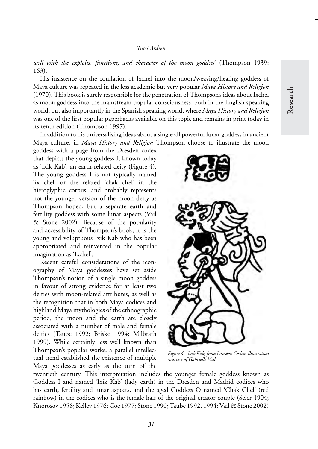*well with the exploits, functions, and character of the moon goddess*' (Thompson 1939: 163).

His insistence on the conflation of Ixchel into the moon/weaving/healing goddess of Maya culture was repeated in the less academic but very popular *Maya History and Religion* (1970). This book is surely responsible for the penetration of Thompson's ideas about Ixchel as moon goddess into the mainstream popular consciousness, both in the English speaking world, but also importantly in the Spanish speaking world, where *Maya History and Religion* was one of the first popular paperbacks available on this topic and remains in print today in its tenth edition (Thompson 1997).

In addition to his universalising ideas about a single all powerful lunar goddess in ancient Maya culture, in *Maya History and Religion* Thompson choose to illustrate the moon

goddess with a page from the Dresden codex that depicts the young goddess I, known today as 'Ixik Kab', an earth-related deity (Figure 4). The young goddess I is not typically named 'ix chel' or the related 'chak chel' in the hieroglyphic corpus, and probably represents not the younger version of the moon deity as Thompson hoped, but a separate earth and fertility goddess with some lunar aspects (Vail & Stone 2002). Because of the popularity and accessibility of Thompson's book, it is the young and voluptuous Ixik Kab who has been appropriated and reinvented in the popular imagination as 'Ixchel'.

Recent careful considerations of the iconography of Maya goddesses have set aside Thompson's notion of a single moon goddess in favour of strong evidence for at least two deities with moon-related attributes, as well as the recognition that in both Maya codices and highland Maya mythologies of the ethnographic period, the moon and the earth are closely associated with a number of male and female deities (Taube 1992; Brisko 1994; Milbrath 1999). While certainly less well known than Thompson's popular works, a parallel intellectual trend established the existence of multiple Maya goddesses as early as the turn of the



*Figure 4. Ixik Kab, from Dresden Codex. Illustration courtesy of Gabrielle Vail.*

twentieth century. This interpretation includes the younger female goddess known as Goddess I and named 'Ixik Kab' (lady earth) in the Dresden and Madrid codices who has earth, fertility and lunar aspects, and the aged Goddess O named 'Chak Chel' (red rainbow) in the codices who is the female half of the original creator couple (Seler 1904; Knorosov 1958; Kelley 1976; Coe 1977; Stone 1990; Taube 1992, 1994; Vail & Stone 2002)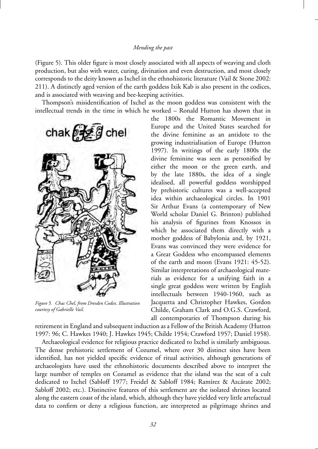(Figure 5). This older figure is most closely associated with all aspects of weaving and cloth production, but also with water, curing, divination and even destruction, and most closely corresponds to the deity known as Ixchel in the ethnohistoric literature (Vail & Stone 2002: 211). A distinctly aged version of the earth goddess Ixik Kab is also present in the codices, and is associated with weaving and bee-keeping activities.

Thompson's misidentification of Ixchel as the moon goddess was consistent with the intellectual trends in the time in which he worked – Ronald Hutton has shown that in



*Figure 5. Chac Chel, from Dresden Codex. Illustration courtesy of Gabrielle Vail.*

the 1800s the Romantic Movement in Europe and the United States searched for the divine feminine as an antidote to the growing industrialisation of Europe (Hutton 1997). In writings of the early 1800s the divine feminine was seen as personified by either the moon or the green earth, and by the late 1880s, the idea of a single idealised, all powerful goddess worshipped by prehistoric cultures was a well-accepted idea within archaeological circles. In 1901 Sir Arthur Evans (a contemporary of New World scholar Daniel G. Brinton) published his analysis of figurines from Knossos in which he associated them directly with a mother goddess of Babylonia and, by 1921, Evans was convinced they were evidence for a Great Goddess who encompassed elements of the earth and moon (Evans 1921: 45-52). Similar interpretations of archaeological materials as evidence for a unifying faith in a single great goddess were written by English intellectuals between 1940-1960, such as Jacquetta and Christopher Hawkes, Gordon Childe, Graham Clark and O.G.S. Crawford, all contemporaries of Thompson during his

retirement in England and subsequent induction as a Fellow of the British Academy (Hutton 1997: 96; C. Hawkes 1940; J. Hawkes 1945; Childe 1954; Crawford 1957; Daniel 1958).

Archaeological evidence for religious practice dedicated to Ixchel is similarly ambiguous. The dense prehistoric settlement of Cozumel, where over 30 distinct sites have been identified, has not yielded specific evidence of ritual activities, although generations of archaeologists have used the ethnohistoric documents described above to interpret the large number of temples on Cozumel as evidence that the island was the seat of a cult dedicated to Ixchel (Sabloff 1977; Freidel & Sabloff 1984; Ramírez & Azcárate 2002; Sabloff 2002; etc.). Distinctive features of this settlement are the isolated shrines located along the eastern coast of the island, which, although they have yielded very little artefactual data to confirm or deny a religious function, are interpreted as pilgrimage shrines and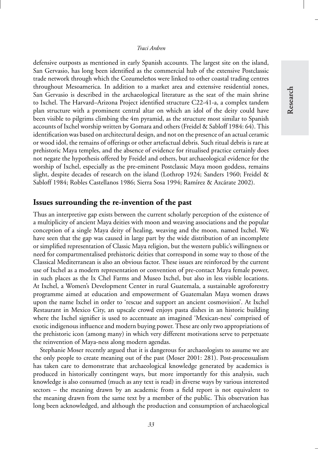defensive outposts as mentioned in early Spanish accounts. The largest site on the island, San Gervasio, has long been identified as the commercial hub of the extensive Postclassic trade network through which the Cozumeleños were linked to other coastal trading centres throughout Mesoamerica. In addition to a market area and extensive residential zones, San Gervasio is described in the archaeological literature as the seat of the main shrine to Ixchel. The Harvard–Arizona Project identified structure C22-41-a, a complex tandem plan structure with a prominent central altar on which an idol of the deity could have been visible to pilgrims climbing the 4m pyramid, as the structure most similar to Spanish accounts of Ixchel worship written by Gomara and others (Freidel & Sabloff 1984: 64). This identification was based on architectural design, and not on the presence of an actual ceramic or wood idol, the remains of offerings or other artefactual debris. Such ritual debris is rare at prehistoric Maya temples, and the absence of evidence for ritualised practice certainly does not negate the hypothesis offered by Freidel and others, but archaeological evidence for the worship of Ixchel, especially as the pre-eminent Postclassic Maya moon goddess, remains slight, despite decades of research on the island (Lothrop 1924; Sanders 1960; Freidel & Sabloff 1984; Robles Castellanos 1986; Sierra Sosa 1994; Ramírez & Azcárate 2002).

## **Issues surrounding the re-invention of the past**

Thus an interpretive gap exists between the current scholarly perception of the existence of a multiplicity of ancient Maya deities with moon and weaving associations and the popular conception of a single Maya deity of healing, weaving and the moon, named Ixchel. We have seen that the gap was caused in large part by the wide distribution of an incomplete or simplified representation of Classic Maya religion, but the western public's willingness or need for compartmentalised prehistoric deities that correspond in some way to those of the Classical Mediterranean is also an obvious factor. These issues are reinforced by the current use of Ixchel as a modern representation or convention of pre-contact Maya female power, in such places as the Ix Chel Farms and Museo Ixchel, but also in less visible locations. At Ixchel, a Women's Development Center in rural Guatemala, a sustainable agroforestry programme aimed at education and empowerment of Guatemalan Maya women draws upon the name Ixchel in order to 'rescue and support an ancient cosmovision'. At Ixchel Restaurant in Mexico City, an upscale crowd enjoys pasta dishes in an historic building where the Ixchel signifier is used to accentuate an imagined 'Mexican-ness' comprised of exotic indigenous influence and modern buying power. These are only two appropriations of the prehistoric icon (among many) in which very different motivations serve to perpetuate the reinvention of Maya-ness along modern agendas.

Stephanie Moser recently argued that it is dangerous for archaeologists to assume we are the only people to create meaning out of the past (Moser 2001: 281). Post-processualism has taken care to demonstrate that archaeological knowledge generated by academics is produced in historically contingent ways, but more importantly for this analysis, such knowledge is also consumed (much as any text is read) in diverse ways by various interested sectors – the meaning drawn by an academic from a field report is not equivalent to the meaning drawn from the same text by a member of the public. This observation has long been acknowledged, and although the production and consumption of archaeological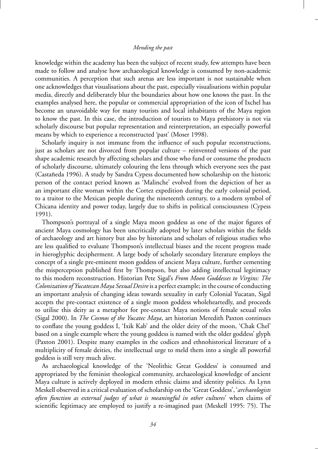knowledge within the academy has been the subject of recent study, few attempts have been made to follow and analyse how archaeological knowledge is consumed by non-academic communities. A perception that such arenas are less important is not sustainable when one acknowledges that visualisations about the past, especially visualisations within popular media, directly and deliberately blur the boundaries about how one knows the past. In the examples analysed here, the popular or commercial appropriation of the icon of Ixchel has become an unavoidable way for many tourists and local inhabitants of the Maya region to know the past. In this case, the introduction of tourists to Maya prehistory is not via scholarly discourse but popular representation and reinterpretation, an especially powerful means by which to experience a reconstructed 'past' (Moser 1998).

Scholarly inquiry is not immune from the influence of such popular reconstructions, just as scholars are not divorced from popular culture – reinvented versions of the past shape academic research by affecting scholars and those who fund or consume the products of scholarly discourse, ultimately colouring the lens through which everyone sees the past (Castañeda 1996). A study by Sandra Cypess documented how scholarship on the historic person of the contact period known as 'Malinche' evolved from the depiction of her as an important elite woman within the Cortez expedition during the early colonial period, to a traitor to the Mexican people during the nineteenth century, to a modern symbol of Chicana identity and power today, largely due to shifts in political consciousness (Cypess 1991).

Thompson's portrayal of a single Maya moon goddess as one of the major figures of ancient Maya cosmology has been uncritically adopted by later scholars within the fields of archaeology and art history but also by historians and scholars of religious studies who are less qualified to evaluate Thompson's intellectual biases and the recent progress made in hieroglyphic decipherment. A large body of scholarly secondary literature employs the concept of a single pre-eminent moon goddess of ancient Maya culture, further cementing the misperception published first by Thompson, but also adding intellectual legitimacy to this modern reconstruction. Historian Pete Sigal's *From Moon Goddesses to Virgins: The Colonization of Yucatecan Maya Sexual Desire*is a perfect example; in the course of conducting an important analysis of changing ideas towards sexuality in early Colonial Yucatan, Sigal accepts the pre-contact existence of a single moon goddess wholeheartedly, and proceeds to utilise this deity as a metaphor for pre-contact Maya notions of female sexual roles (Sigal 2000). In *The Cosmos of the Yucatec Maya*, art historian Meredith Paxton continues to conflate the young goddess I, 'Ixik Kab' and the older deity of the moon, 'Chak Chel' based on a single example where the young goddess is named with the older goddess' glyph (Paxton 2001). Despite many examples in the codices and ethnohistorical literature of a multiplicity of female deities, the intellectual urge to meld them into a single all powerful goddess is still very much alive.

As archaeological knowledge of the 'Neolithic Great Goddess' is consumed and appropriated by the feminist theological community, archaeological knowledge of ancient Maya culture is actively deployed in modern ethnic claims and identity politics. As Lynn Meskell observed in a critical evaluation of scholarship on the 'Great Goddess', '*archaeologists often function as external judges of what is meaningful in other cultures*' when claims of scientific legitimacy are employed to justify a re-imagined past (Meskell 1995: 75). The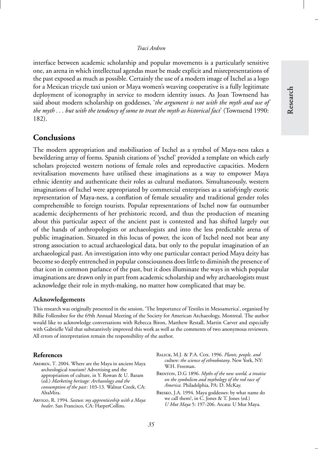interface between academic scholarship and popular movements is a particularly sensitive one, an arena in which intellectual agendas must be made explicit and misrepresentations of the past exposed as much as possible. Certainly the use of a modern image of Ixchel as a logo for a Mexican tricycle taxi union or Maya women's weaving cooperative is a fully legitimate deployment of iconography in service to modern identity issues. As Joan Townsend has said about modern scholarship on goddesses, '*the argument is not with the myth and use of the myth . . . but with the tendency of some to treat the myth as historical fact*' (Townsend 1990: 182).

## **Conclusions**

The modern appropriation and mobilisation of Ixchel as a symbol of Maya-ness takes a bewildering array of forms. Spanish citations of 'yschel' provided a template on which early scholars projected western notions of female roles and reproductive capacities. Modern revitalisation movements have utilised these imaginations as a way to empower Maya ethnic identity and authenticate their roles as cultural mediators. Simultaneously, western imaginations of Ixchel were appropriated by commercial enterprises as a satisfyingly exotic representation of Maya-ness, a conflation of female sexuality and traditional gender roles comprehensible to foreign tourists. Popular representations of Ixchel now far outnumber academic decipherments of her prehistoric record, and thus the production of meaning about this particular aspect of the ancient past is contested and has shifted largely out of the hands of anthropologists or archaeologists and into the less predictable arena of public imagination. Situated in this locus of power, the icon of Ixchel need not bear any strong association to actual archaeological data, but only to the popular imagination of an archaeological past. An investigation into why one particular contact period Maya deity has become so deeply entrenched in popular consciousness does little to diminish the presence of that icon in common parlance of the past, but it does illuminate the ways in which popular imaginations are drawn only in part from academic scholarship and why archaeologists must acknowledge their role in myth-making, no matter how complicated that may be.

#### **Acknowledgements**

This research was originally presented in the session, 'The Importance of Textiles in Mesoamerica', organised by Billie Follensbee for the 69th Annual Meeting of the Society for American Archaeology, Montreal. The author would like to acknowledge conversations with Rebecca Biron, Matthew Restall, Martin Carver and especially with Gabrielle Vail that substantively improved this work as well as the comments of two anonymous reviewers. All errors of interpretation remain the responsibility of the author.

#### **References**

- ARDREN, T. 2004. Where are the Maya in ancient Maya archeological tourism? Advertising and the appropriation of culture, in Y. Rowan & U. Baram (ed.) *Marketing heritage: Archaeology and the consumption of the past*: 103-13. Walnut Creek, CA: AltaMira.
- Arvigo, R. 1994. *Sastun: my apprenticeship with a Maya healer*. San Francisco, CA: HarperCollins.
- Balick, M.J. & P.A. Cox. 1996. *Plants, people, and culture: the science of ethnobotany*. New York, NY: W.H. Freeman.
- Brinton, D.G 1896. *Myths of the new world, a treatise on the symbolism and mythology of the red race of America.* Philadelphia, PA: D. McKay.
- Brisko, J.A. 1994. Maya goddesses: by what name do we call them?, in C. Jones & T. Jones (ed.) *U Mut Maya* 5: 197-206. Arcata: U Mut Maya.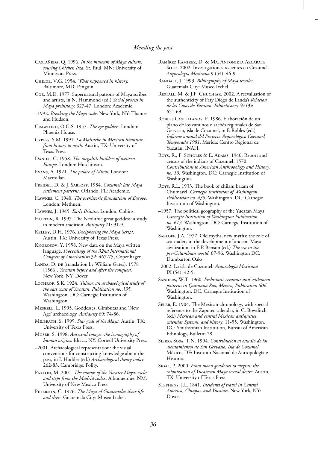- CASTAÑEDA, Q. 1996. In the museum of Maya culture: *touring Chichen Itza.* St. Paul, MN: University of Minnesota Press.
- Childe, V.G. 1954. *What happened in history.* Baltimore, MD: Penguin.
- Coe, M.D. 1977. Supernatural patrons of Maya scribes and artists, in N. Hammond (ed.) *Social process in Maya prehistory*: 327-47. London: Academic.
- –1992. *Breaking the Maya code*. New York, NY: Thames and Hudson.
- Crawford, O.G.S. 1957. *The eye goddess*. London: Phoenix House.
- Cypess, S.M. 1991. *La Malinche in Mexican literature: from history to myth.* Austin, TX: University of Texas Press.
- Daniel, G. 1958. *The megalith builders of western Europe*. London: Hutchinson.
- Evans, A. 1921. *The palace of Minos.* London: Macmillan.
- Freidel, D. & J. Sabloff. 1984. *Cozumel: late Maya settlement patterns*. Orlando, FL: Academic.
- Hawkes, C. 1940. *The prehistoric foundations of Europe.* London: Methuen.
- Hawkes, J. 1945. *Early Britain*. London: Collins.
- HUTTON, R. 1997. The Neolithic great goddess: a study in modern tradition. *Antiquity* 71: 91-9.
- Kelley, D.H. 1976. *Deciphering the Maya Script*. Austin, TX: University of Texas Press.
- Knorosov, Y. 1958. New data on the Maya written language. *Proceedings of the 32nd International Congress of Americanists* 32: 467-75, Copenhagen.
- LANDA, D. DE (translation by William Gates). 1978 [1566]. *Yucatan before and after the conquest.* New York, NY: Dover.
- Lothrop, S.K. 1924. *Tulum: an archaeological study of the east coast of Yucatan, Publication no. 335*. Washington, DC: Carnegie Institution of Washington.
- Meskell, L. 1995. Goddesses, Gimbutas and 'New Age' archaeology. *Antiquity* 69: 74-86.
- Milbrath, S. 1999. *Star gods of the Maya.* Austin, TX: University of Texas Press.
- Moser, S. 1998. *Ancestral images: the iconography of human origins.* Ithaca, NY: Cornell University Press.
- –2001. Archaeological representation: the visual conventions for constructing knowledge about the past, in I. Hodder (ed.) *Archaeological theory today*: 262-83. Cambridge: Polity.
- Paxton, M. 2001. *The cosmos of the Yucatec Maya: cycles and steps from the Madrid codex*. Albuquerque, NM: University of New Mexico Press.
- Peterson, C. 1976. *The Maya of Guatemala: their life and dress*. Guatemala City: Museo Ixchel.
- RAMÍREZ RAMÍREZ, D. & MA. ANTONIETA AZCÁRATE Soto. 2002. Investigaciones recientes en Cozumel. *Arqueologia Mexicana* 9 (54): 46-9.
- Randall, J. 1993. *Bibliography of Maya textiles*. Guatemala City: Museo Ixchel.
- RESTALL, M. & J.F. CHUCHIAK. 2002. A reevaluation of the authenticity of Fray Diego de Landa's *Relacion de las Cosas de Yucatan*. *Ethnohistory* 49 (3): 651-69.
- ROBLES CASTELLANOS, F. 1986. Elaboración de un plano de los caminos o sacbés regionales de San Gervasio, isla de Cozumel, in F. Robles (ed.) *Informe annual del Proyecto Arqueologico Cozumel, ´ Temporada 1981*. Merida: Centro Regional de Yucatán, INAH.
- Roys, R., F. SCHOLES & E. ADAMS. 1940. Report and census of the indians of Cozumel, 1570. *Contributions to American Anthropology and History, no. 30*. Washington, DC: Carnegie Institution of Washington.
- Roys, R.L. 1933. The book of chilam balam of Chumayel. *Carnegie Institution of Washington Publication no. 438.* Washington, DC: Carnegie Institution of Washington.
- –1957. The political geography of the Yucatan Maya. *Carnegie Institution of Washington Publication no. 613.* Washington, DC: Carnegie Institution of Washington.
- SABLOFF, J.A. 1977. Old myths, new myths: the role of sea traders in the development of ancient Maya civilization, in E.P. Benson (ed.) *The sea in the pre-Columbian world*: 67-96. Washington DC: Dumbarton Oaks.
- –2002. La isla de Cozumel. *Arqueolog´ıa Mexicana* IX (54): 42-5.
- Sanders, W.T. 1960. *Prehistoric ceramics and settlement patterns in Quintana Roo, Mexico, Publication 606.* Washington, DC: Carnegie Institution of Washington.
- SELER, E. 1904. The Mexican chronology, with special reference to the Zapotec calendar, in C. Bowditch (ed.) *Mexican and central Mexican antiquities, calendar Systems, and history*: 11-55. Washington, DC: Smithsonian Institution, Bureau of American Ethnology, Bulletin 28.
- Sierra Sosa, T.N. 1994. *Contribucion al estudio de los ´ asentamientos de San Gervasio, Isla de Cozumel*. México, DF: Instituto Nacional de Antropología e Historia.
- Sigal, P. 2000. *From moon goddesses to virgins: the colonization of Yucatecan Maya sexual desire.* Austin, TX: University of Texas Press.
- Stephens, J.L. 1841. *Incidents of travel in Central America, Chiapas, and Yucatan*. New York, NY: Dover.